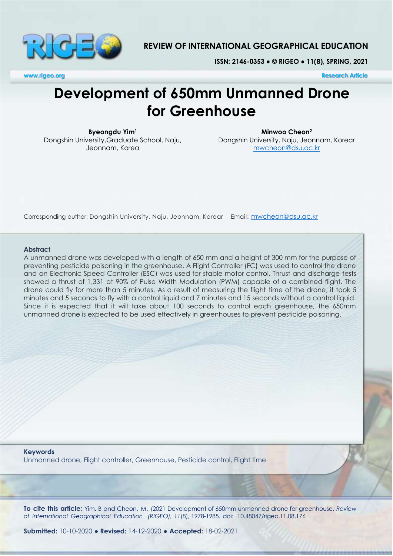

## **REVIEW OF INTERNATIONAL GEOGRAPHICAL EDUCATION**

**ISSN: 2146-0353 ● © RIGEO ● 11(8), SPRING, 2021**

**www.rigeo.org Research Article**

# **Development of 650mm Unmanned Drone for Greenhouse**

**Byeongdu Yim<sup>1</sup>** Dongshin University,Graduate School, Naju, Jeonnam, Korea

**Minwoo Cheon<sup>2</sup>** Dongshin University, Naju, Jeonnam, Korear [mwcheon@dsu.ac.kr](mailto:mwcheon@dsu.ac.kr)

Corresponding author: Dongshin University, Naju, Jeonnam, Korear Email: [mwcheon@dsu.ac.kr](mailto:mwcheon@dsu.ac.kr)

#### **Abstract**

A unmanned drone was developed with a length of 650 mm and a height of 300 mm for the purpose of preventing pesticide poisoning in the greenhouse. A Flight Controller (FC) was used to control the drone and an Electronic Speed Controller (ESC) was used for stable motor control. Thrust and discharge tests showed a thrust of 1,331 at 90% of Pulse Width Modulation (PWM) capable of a combined flight. The drone could fly for more than 5 minutes. As a result of measuring the flight time of the drone, it took 5 minutes and 5 seconds to fly with a control liquid and 7 minutes and 15 seconds without a control liquid. Since it is expected that it will take about 100 seconds to control each greenhouse, the 650mm unmanned drone is expected to be used effectively in greenhouses to prevent pesticide poisoning.

**Keywords** Unmanned drone, Flight controller, Greenhouse, Pesticide control, Flight time

**To cite this article:** Yim. B and Cheon, M, (2021 Development of 650mm unmanned drone for greenhouse. *Review of International Geographical Education (RIGEO), 11*(8), 1978-1985. doi: 10.48047/rigeo.11.08.176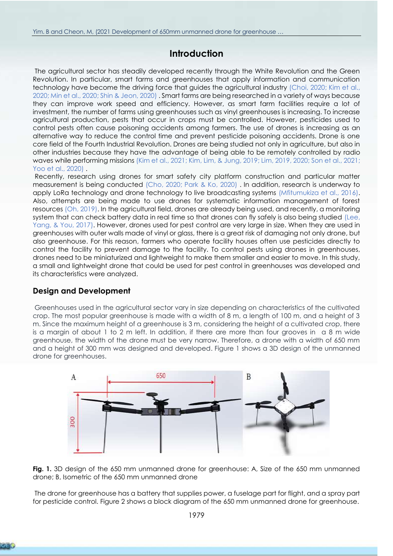## **Introduction**

The agricultural sector has steadily developed recently through the White Revolution and the Green Revolution. In particular, smart farms and greenhouses that apply information and communication technology have become the driving force that guides the agricultural industry [\(Choi, 2020;](#page-6-0) Kim et al., [2020;](#page-6-1) [Min et al., 2020;](#page-7-0) [Shin & Jeon, 2020\)](#page-7-1) . Smart farms are being researched in a variety of ways because they can improve work speed and efficiency. However, as smart farm facilities require a lot of investment, the number of farms using greenhouses such as vinyl greenhouses is increasing. To increase agricultural production, pests that occur in crops must be controlled. However, pesticides used to control pests often cause poisoning accidents among farmers. The use of drones is increasing as an alternative way to reduce the control time and prevent pesticide poisoning accidents. Drone is one core field of the Fourth Industrial Revolution. Drones are being studied not only in agriculture, but also in other industries because they have the advantage of being able to be remotely controlled by radio waves while performing missions [\(Kim et al., 2021;](#page-6-2) [Kim, Lim, & Jung,](#page-7-2) 2019; [Lim, 2019,](#page-7-3) [2020;](#page-7-4) [Son et al., 2021;](#page-7-5) [Yoo et al., 2020\)](#page-7-6) .

Recently, research using drones for smart safety city platform construction and particular matter measurement is being conducted [\(Cho, 2020;](#page-6-3) [Park & Ko, 2020\)](#page-7-7) . In addition, research is underway to apply LoRa technology and drone technology to live broadcasting systems [\(Mfitumukiza et al., 2016\)](#page-7-8). Also, attempts are being made to use drones for systematic information management of forest resources [\(Oh, 2019\)](#page-7-9). In the agricultural field, drones are already being used, and recently, a monitoring system that can check battery data in real time so that drones can fly safely is also being studied (Lee, [Yang, & You, 2017\)](#page-7-10). However, drones used for pest control are very large in size. When they are used in greenhouses with outer walls made of vinyl or glass, there is a great risk of damaging not only drone, but also greenhouse. For this reason, farmers who operate facility houses often use pesticides directly to control the facility to prevent damage to the facility. To control pests using drones in greenhouses, drones need to be miniaturized and lightweight to make them smaller and easier to move. In this study, a small and lightweight drone that could be used for pest control in greenhouses was developed and its characteristics were analyzed.

## **Design and Development**

Greenhouses used in the agricultural sector vary in size depending on characteristics of the cultivated crop. The most popular greenhouse is made with a width of 8 m, a length of 100 m, and a height of 3 m. Since the maximum height of a greenhouse is 3 m, considering the height of a cultivated crop, there is a margin of about 1 to 2 m left. In addition, if there are more than four grooves in a 8 m wide greenhouse, the width of the drone must be very narrow. Therefore, a drone with a width of 650 mm and a height of 300 mm was designed and developed. Figure 1 shows a 3D design of the unmanned drone for greenhouses.



**Fig. 1.** 3D design of the 650 mm unmanned drone for greenhouse: A, Size of the 650 mm unmanned drone; B, Isometric of the 650 mm unmanned drone

The drone for greenhouse has a battery that supplies power, a fuselage part for flight, and a spray part for pesticide control. Figure 2 shows a block diagram of the 650 mm unmanned drone for greenhouse.

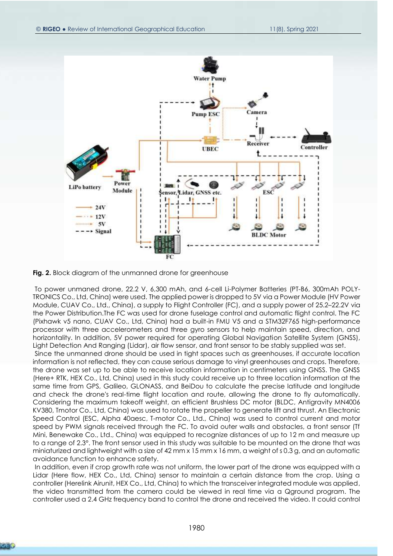

Fig. 2. Block diagram of the unmanned drone for greenhouse

To power unmaned drone, 22.2 V, 6,300 mAh, and 6-cell Li-Polymer Batteries (PT-B6, 300mAh POLY-TRONICS Co., Ltd, China) were used. The applied power is dropped to 5V via a Power Module (HV Power Module, CUAV Co., Ltd., China), a supply to Flight Controller (FC), and a supply power of 25.2–22.2V via the Power Distribution.The FC was used for drone fuselage control and automatic flight control. The FC (Pixhawk v5 nano, CUAV Co., Ltd, China) had a built-in FMU V5 and a STM32F765 high-performance processor with three accelerometers and three gyro sensors to help maintain speed, direction, and horizontality. In addition, 5V power required for operating Global Navigation Satellite System (GNSS), Light Detection And Ranging (Lidar), air flow sensor, and front sensor to be stably supplied was set.

Since the unmanned drone should be used in tight spaces such as greenhouses, if accurate location information is not reflected, they can cause serious damage to vinyl greenhouses and crops. Therefore, the drone was set up to be able to receive location information in centimeters using GNSS. The GNSS (Here+ RTK, HEX Co., Ltd, China) used in this study could receive up to three location information at the same time from GPS, Galileo, GLONASS, and BeiDou to calculate the precise latitude and longitude and check the drone's real-time flight location and route, allowing the drone to fly automatically. Considering the maximum takeoff weight, an efficient Brushless DC motor (BLDC, Antigravity MN4006 KV380, Tmotor Co., Ltd, China) was used to rotate the propeller to generate lift and thrust. An Electronic Speed Control (ESC, Alpha 40aesc, T-motor Co., Ltd., China) was used to control current and motor speed by PWM signals received through the FC. To avoid outer walls and obstacles, a front sensor (Tf Mini, Benewake Co., Ltd., China) was equipped to recognize distances of up to 12 m and measure up to a range of 2.3°. The front sensor used in this study was suitable to be mounted on the drone that was miniaturized and lightweight with a size of 42 mm x 15 mm x 16 mm, a weight of s 0.3 g, and an automatic avoidance function to enhance safety.

In addition, even if crop growth rate was not uniform, the lower part of the drone was equipped with a Lidar (Here flow, HEX Co., Ltd, China) sensor to maintain a certain distance from the crop. Using a controller (Herelink Airunit, HEX Co., Ltd, China) to which the transceiver integrated module was applied, the video transmitted from the camera could be viewed in real time via a Qground program. The controller used a 2.4 GHz frequency band to control the drone and received the video. It could control

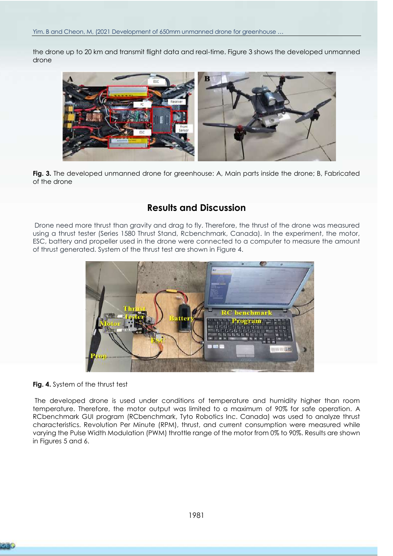the drone up to 20 km and transmit flight data and real-time. Figure 3 shows the developed unmanned drone



**Fig. 3.** The developed unmanned drone for greenhouse: A, Main parts inside the drone; B, Fabricated of the drone

# **Results and Discussion**

Drone need more thrust than gravity and drag to fly. Therefore, the thrust of the drone was measured using a thrust tester (Series 1580 Thrust Stand, Rcbenchmark, Canada). In the experiment, the motor, ESC, battery and propeller used in the drone were connected to a computer to measure the amount of thrust generated. System of the thrust test are shown in Figure 4.



**Fig. 4.** System of the thrust test

The developed drone is used under conditions of temperature and humidity higher than room temperature. Therefore, the motor output was limited to a maximum of 90% for safe operation. A RCbenchmark GUI program (RCbenchmark, Tyto Robotics Inc. Canada) was used to analyze thrust characteristics. Revolution Per Minute (RPM), thrust, and current consumption were measured while varying the Pulse Width Modulation (PWM) throttle range of the motor from 0% to 90%. Results are shown in Figures 5 and 6.

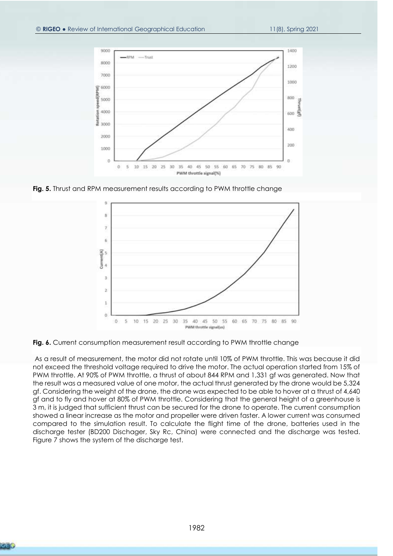

**Fig. 5.** Thrust and RPM measurement results according to PWM throttle change



**Fig. 6.** Current consumption measurement result according to PWM throttle change

As a result of measurement, the motor did not rotate until 10% of PWM throttle. This was because it did not exceed the threshold voltage required to drive the motor. The actual operation started from 15% of PWM throttle. At 90% of PWM throttle, a thrust of about 844 RPM and 1,331 gf was generated. Now that the result was a measured value of one motor, the actual thrust generated by the drone would be 5,324 gf. Considering the weight of the drone, the drone was expected to be able to hover at a thrust of 4,640 gf and to fly and hover at 80% of PWM throttle. Considering that the general height of a greenhouse is 3 m, it is judged that sufficient thrust can be secured for the drone to operate. The current consumption showed a linear increase as the motor and propeller were driven faster. A lower current was consumed compared to the simulation result. To calculate the flight time of the drone, batteries used in the discharge tester (BD200 Dischager, Sky Rc, China) were connected and the discharge was tested. Figure 7 shows the system of the discharge test.

**CER**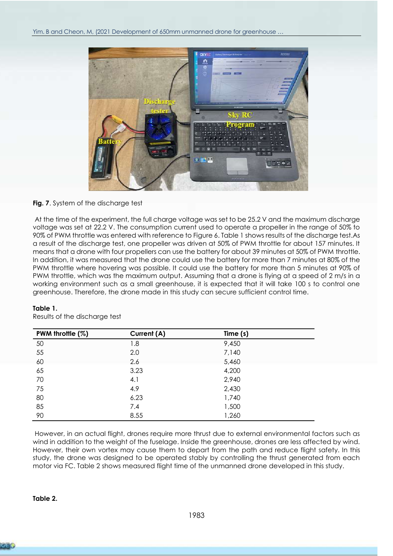

#### **Fig. 7**. System of the discharge test

At the time of the experiment, the full charge voltage was set to be 25.2 V and the maximum discharge voltage was set at 22.2 V. The consumption current used to operate a propeller in the range of 50% to 90% of PWM throttle was entered with reference to Figure 6. Table 1 shows results of the discharge test.As a result of the discharge test, one propeller was driven at 50% of PWM throttle for about 157 minutes. It means that a drone with four propellers can use the battery for about 39 minutes at 50% of PWM throttle. In addition, it was measured that the drone could use the battery for more than 7 minutes at 80% of the PWM throttle where hovering was possible. It could use the battery for more than 5 minutes at 90% of PWM throttle, which was the maximum output. Assuming that a drone is flying at a speed of 2 m/s in a working environment such as a small greenhouse, it is expected that it will take 100 s to control one greenhouse. Therefore, the drone made in this study can secure sufficient control time.

| PWM throttle (%) | Current (A) | Time (s) |  |
|------------------|-------------|----------|--|
| 50               | 1.8         | 9,450    |  |
| 55               | 2.0         | 7,140    |  |
| 60               | 2.6         | 5,460    |  |
| 65               | 3.23        | 4,200    |  |
| 70               | 4.1         | 2,940    |  |
| 75               | 4.9         | 2,430    |  |
| 80               | 6.23        | 1,740    |  |
| 85               | 7.4         | 1,500    |  |
| 90               | 8.55        | 1,260    |  |

#### **Table 1.**

Results of the discharge test

However, in an actual flight, drones require more thrust due to external environmental factors such as wind in addition to the weight of the fuselage. Inside the greenhouse, drones are less affected by wind. However, their own vortex may cause them to depart from the path and reduce flight safety. In this study, the drone was designed to be operated stably by controlling the thrust generated from each motor via FC. Table 2 shows measured flight time of the unmanned drone developed in this study.

#### **Table 2.**

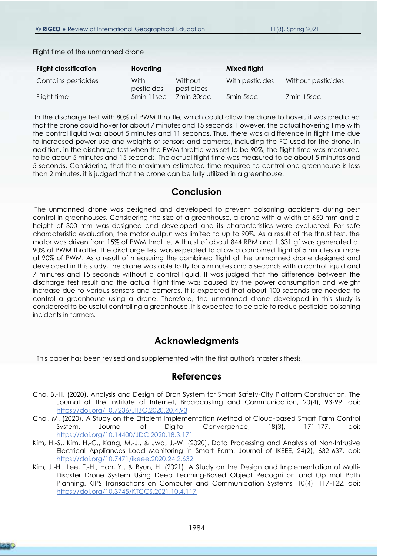|  | Flight time of the unmanned drone |
|--|-----------------------------------|
|--|-----------------------------------|

| <b>Flight classification</b> | Hoverling          |                       | Mixed flight    |                    |
|------------------------------|--------------------|-----------------------|-----------------|--------------------|
| Contains pesticides          | With<br>pesticides | Without<br>pesticides | With pesticides | Without pesticides |
| Flight time                  | 5min 11sec         | 7min 30sec            | 5min 5sec       | 7min 15sec         |

In the discharge test with 80% of PWM throttle, which could allow the drone to hover, it was predicted that the drone could hover for about 7 minutes and 15 seconds. However, the actual hovering time with the control liquid was about 5 minutes and 11 seconds. Thus, there was a difference in flight time due to increased power use and weights of sensors and cameras, including the FC used for the drone. In addition, in the discharge test when the PWM throttle was set to be 90%, the flight time was measured to be about 5 minutes and 15 seconds. The actual flight time was measured to be about 5 minutes and 5 seconds. Considering that the maximum estimated time required to control one greenhouse is less than 2 minutes, it is judged that the drone can be fully utilized in a greenhouse.

## **Conclusion**

The unmanned drone was designed and developed to prevent poisoning accidents during pest control in greenhouses. Considering the size of a greenhouse, a drone with a width of 650 mm and a height of 300 mm was designed and developed and its characteristics were evaluated. For safe characteristic evaluation, the motor output was limited to up to 90%. As a result of the thrust test, the motor was driven from 15% of PWM throttle. A thrust of about 844 RPM and 1.331 gf was generated at 90% of PWM throttle. The discharge test was expected to allow a combined flight of 5 minutes or more at 90% of PWM. As a result of measuring the combined flight of the unmanned drone designed and developed in this study, the drone was able to fly for 5 minutes and 5 seconds with a control liquid and 7 minutes and 15 seconds without a control liquid. It was judged that the difference between the discharge test result and the actual flight time was caused by the power consumption and weight increase due to various sensors and cameras. It is expected that about 100 seconds are needed to control a greenhouse using a drone. Therefore, the unmanned drone developed in this study is considered to be useful controlling a greenhouse. It is expected to be able to reduc pesticide poisoning incidents in farmers.

## **Acknowledgments**

This paper has been revised and supplemented with the first author's master's thesis.

## **References**

- <span id="page-6-3"></span>Cho, B.-H. (2020). Analysis and Design of Dron System for Smart Safety-City Platform Construction. The Journal of The Institute of Internet, Broadcasting and Communication, 20(4), 93-99. doi: https://doi.org/10.7236/JIIBC.2020.20.4.93
- <span id="page-6-0"></span>Choi, M. (2020). A Study on the Efficient Implementation Method of Cloud-based Smart Farm Control System. Journal of Digital Convergence, 18(3), 171-177. doi: https://doi.org/10.14400/JDC.2020.18.3.171
- <span id="page-6-1"></span>Kim, H.-S., Kim, H.-C., Kang, M.-J., & Jwa, J.-W. (2020). Data Processing and Analysis of Non-Intrusive Electrical Appliances Load Monitoring in Smart Farm. Journal of IKEEE, 24(2), 632-637. doi: https://doi.org/10.7471/ikeee.2020.24.2.632
- <span id="page-6-2"></span>Kim, J.-H., Lee, T.-H., Han, Y., & Byun, H. (2021). A Study on the Design and Implementation of Multi-Disaster Drone System Using Deep Learning-Based Object Recognition and Optimal Path Planning. KIPS Transactions on Computer and Communication Systems, 10(4), 117-122. doi: https://doi.org/10.3745/KTCCS.2021.10.4.117